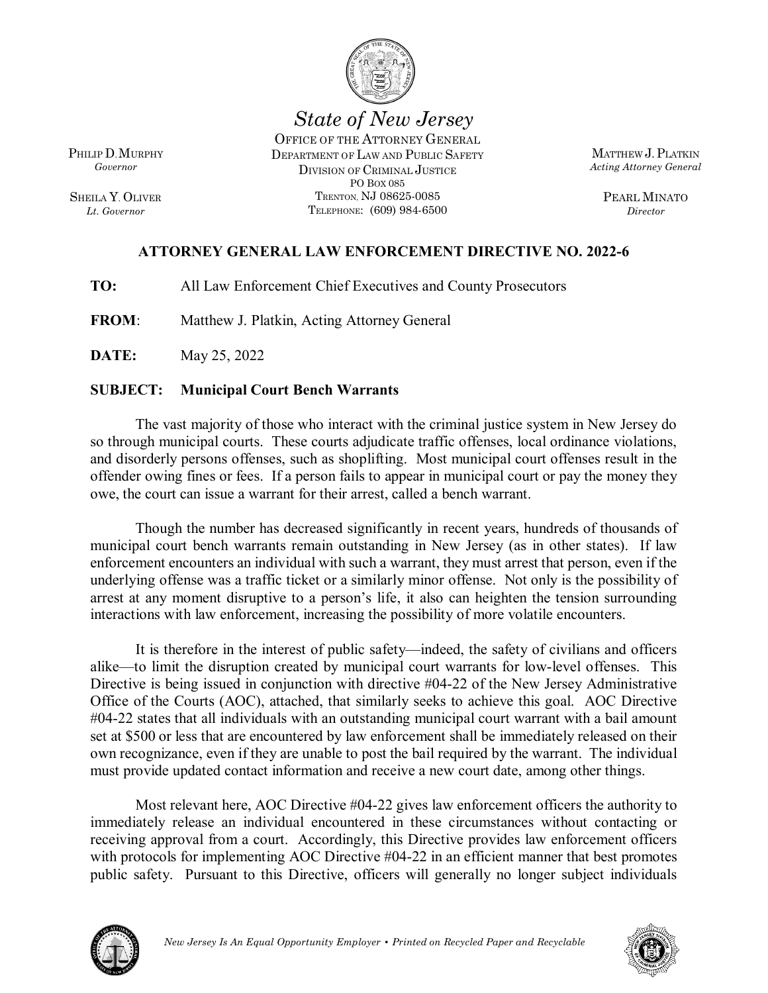

*State of New Jersey*

OFFICE OF THE ATTORNEY GENERAL DEPARTMENT OF LAW AND PUBLIC SAFETY DIVISION OF CRIMINAL JUSTICE PO BOX 085 TRENTON, NJ 08625-0085 TELEPHONE: (609) 984-6500

MATTHEW J.PLATKIN *Acting Attorney General*

> PEARL MINATO *Director*

# **ATTORNEY GENERAL LAW ENFORCEMENT DIRECTIVE NO. 2022-6**

**TO:** All Law Enforcement Chief Executives and County Prosecutors

**FROM**: Matthew J. Platkin, Acting Attorney General

**DATE:** May 25, 2022

# **SUBJECT: Municipal Court Bench Warrants**

The vast majority of those who interact with the criminal justice system in New Jersey do so through municipal courts. These courts adjudicate traffic offenses, local ordinance violations, and disorderly persons offenses, such as shoplifting. Most municipal court offenses result in the offender owing fines or fees. If a person fails to appear in municipal court or pay the money they owe, the court can issue a warrant for their arrest, called a bench warrant.

Though the number has decreased significantly in recent years, hundreds of thousands of municipal court bench warrants remain outstanding in New Jersey (as in other states). If law enforcement encounters an individual with such a warrant, they must arrest that person, even if the underlying offense was a traffic ticket or a similarly minor offense. Not only is the possibility of arrest at any moment disruptive to a person's life, it also can heighten the tension surrounding interactions with law enforcement, increasing the possibility of more volatile encounters.

It is therefore in the interest of public safety—indeed, the safety of civilians and officers alike—to limit the disruption created by municipal court warrants for low-level offenses. This Directive is being issued in conjunction with directive #04-22 of the New Jersey Administrative Office of the Courts (AOC), attached, that similarly seeks to achieve this goal. AOC Directive #04-22 states that all individuals with an outstanding municipal court warrant with a bail amount set at \$500 or less that are encountered by law enforcement shall be immediately released on their own recognizance, even if they are unable to post the bail required by the warrant. The individual must provide updated contact information and receive a new court date, among other things.

Most relevant here, AOC Directive #04-22 gives law enforcement officers the authority to immediately release an individual encountered in these circumstances without contacting or receiving approval from a court. Accordingly, this Directive provides law enforcement officers with protocols for implementing AOC Directive #04-22 in an efficient manner that best promotes public safety. Pursuant to this Directive, officers will generally no longer subject individuals





PHILIP D.MURPHY *Governor*

SHEILA Y. OLIVER *Lt. Governor*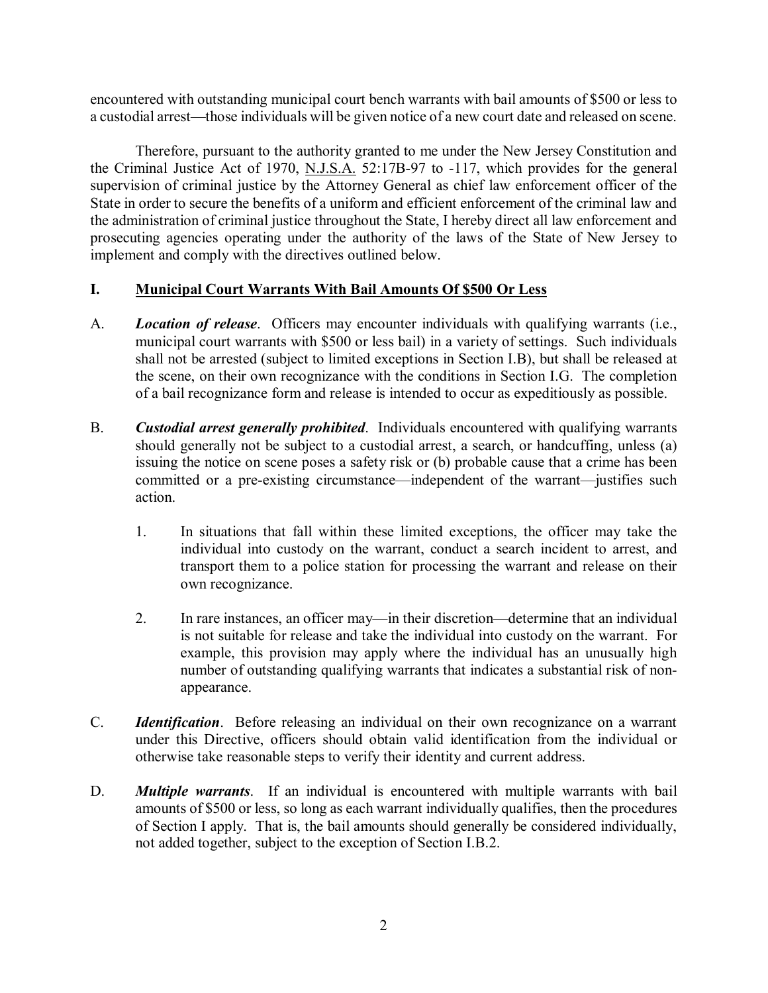encountered with outstanding municipal court bench warrants with bail amounts of \$500 or less to a custodial arrest—those individuals will be given notice of a new court date and released on scene.

Therefore, pursuant to the authority granted to me under the New Jersey Constitution and the Criminal Justice Act of 1970, N.J.S.A. 52:17B-97 to -117, which provides for the general supervision of criminal justice by the Attorney General as chief law enforcement officer of the State in order to secure the benefits of a uniform and efficient enforcement of the criminal law and the administration of criminal justice throughout the State, I hereby direct all law enforcement and prosecuting agencies operating under the authority of the laws of the State of New Jersey to implement and comply with the directives outlined below.

#### **I. Municipal Court Warrants With Bail Amounts Of \$500 Or Less**

- A. *Location of release*. Officers may encounter individuals with qualifying warrants (i.e., municipal court warrants with \$500 or less bail) in a variety of settings. Such individuals shall not be arrested (subject to limited exceptions in Section I.B), but shall be released at the scene, on their own recognizance with the conditions in Section I.G. The completion of a bail recognizance form and release is intended to occur as expeditiously as possible.
- B. *Custodial arrest generally prohibited*. Individuals encountered with qualifying warrants should generally not be subject to a custodial arrest, a search, or handcuffing, unless (a) issuing the notice on scene poses a safety risk or (b) probable cause that a crime has been committed or a pre-existing circumstance—independent of the warrant—justifies such action.
	- 1. In situations that fall within these limited exceptions, the officer may take the individual into custody on the warrant, conduct a search incident to arrest, and transport them to a police station for processing the warrant and release on their own recognizance.
	- 2. In rare instances, an officer may—in their discretion—determine that an individual is not suitable for release and take the individual into custody on the warrant. For example, this provision may apply where the individual has an unusually high number of outstanding qualifying warrants that indicates a substantial risk of nonappearance.
- C. *Identification*. Before releasing an individual on their own recognizance on a warrant under this Directive, officers should obtain valid identification from the individual or otherwise take reasonable steps to verify their identity and current address.
- D. *Multiple warrants*. If an individual is encountered with multiple warrants with bail amounts of \$500 or less, so long as each warrant individually qualifies, then the procedures of Section I apply. That is, the bail amounts should generally be considered individually, not added together, subject to the exception of Section I.B.2.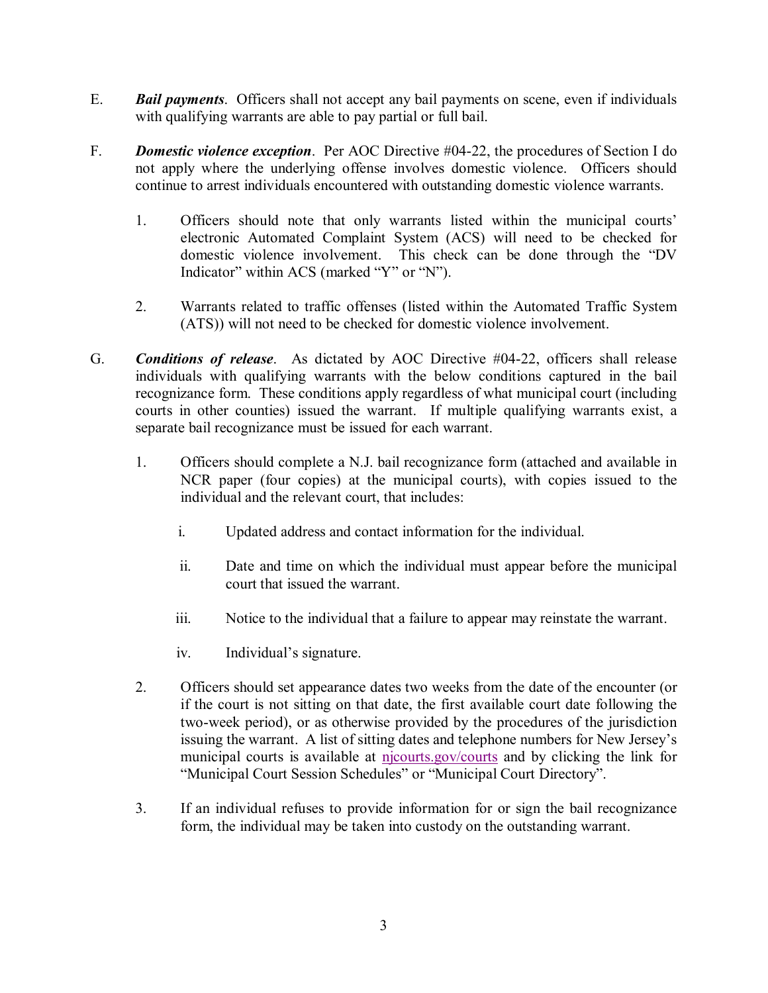- E. *Bail payments*. Officers shall not accept any bail payments on scene, even if individuals with qualifying warrants are able to pay partial or full bail.
- F. *Domestic violence exception*. Per AOC Directive #04-22, the procedures of Section I do not apply where the underlying offense involves domestic violence. Officers should continue to arrest individuals encountered with outstanding domestic violence warrants.
	- 1. Officers should note that only warrants listed within the municipal courts' electronic Automated Complaint System (ACS) will need to be checked for domestic violence involvement. This check can be done through the "DV Indicator" within ACS (marked "Y" or "N").
	- 2. Warrants related to traffic offenses (listed within the Automated Traffic System (ATS)) will not need to be checked for domestic violence involvement.
- G. *Conditions of release*. As dictated by AOC Directive #04-22, officers shall release individuals with qualifying warrants with the below conditions captured in the bail recognizance form. These conditions apply regardless of what municipal court (including courts in other counties) issued the warrant. If multiple qualifying warrants exist, a separate bail recognizance must be issued for each warrant.
	- 1. Officers should complete a N.J. bail recognizance form (attached and available in NCR paper (four copies) at the municipal courts), with copies issued to the individual and the relevant court, that includes:
		- i. Updated address and contact information for the individual.
		- ii. Date and time on which the individual must appear before the municipal court that issued the warrant.
		- iii. Notice to the individual that a failure to appear may reinstate the warrant.
		- iv. Individual's signature.
	- 2. Officers should set appearance dates two weeks from the date of the encounter (or if the court is not sitting on that date, the first available court date following the two-week period), or as otherwise provided by the procedures of the jurisdiction issuing the warrant. A list of sitting dates and telephone numbers for New Jersey's municipal courts is available at [njcourts.gov/courts](http://www.njcourts.gov/courts) and by clicking the link for "Municipal Court Session Schedules" or "Municipal Court Directory".
	- 3. If an individual refuses to provide information for or sign the bail recognizance form, the individual may be taken into custody on the outstanding warrant.